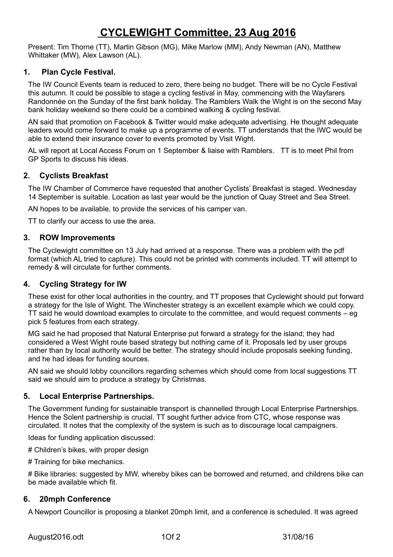# **CYCLEWIGHT Committee, 23 Aug 2016**

Present: Tim Thorne (TT), Martin Gibson (MG), Mike Marlow (MM), Andy Newman (AN), Matthew Whittaker (MW), Alex Lawson (AL).

# **1. Plan Cycle Festival.**

The IW Council Events team is reduced to zero, there being no budget. There will be no Cycle Festival this autumn. It could be possible to stage a cycling festival in May, commencing with the Wayfarers Randonnée on the Sunday of the first bank holiday. The Ramblers Walk the Wight is on the second May bank holiday weekend so there could be a combined walking & cycling festival.

AN said that promotion on Facebook & Twitter would make adequate advertising. He thought adequate leaders would come forward to make up a programme of events. TT understands that the IWC would be able to extend their insurance cover to events promoted by Visit Wight.

AL will report at Local Access Forum on 1 September & liaise with Ramblers. TT is to meet Phil from GP Sports to discuss his ideas.

# **2. Cyclists Breakfast**

The IW Chamber of Commerce have requested that another Cyclists' Breakfast is staged. Wednesday 14 September is suitable. Location as last year would be the junction of Quay Street and Sea Street.

AN hopes to be available, to provide the services of his camper van.

TT to clarify our access to use the area.

### **3. ROW Improvements**

The Cyclewight committee on 13 July had arrived at a response. There was a problem with the pdf format (which AL tried to capture). This could not be printed with comments included. TT will attempt to remedy & will circulate for further comments.

### **4. Cycling Strategy for IW**

These exist for other local authorities in the country, and TT proposes that Cyclewight should put forward a strategy for the Isle of Wight. The Winchester strategy is an excellent example which we could copy. TT said he would download examples to circulate to the committee, and would request comments – eg pick 5 features from each strategy.

MG said he had proposed that Natural Enterprise put forward a strategy for the island; they had considered a West Wight route based strategy but nothing came of it. Proposals led by user groups rather than by local authority would be better. The strategy should include proposals seeking funding, and he had ideas for funding sources.

AN said we should lobby councillors regarding schemes which should come from local suggestions TT said we should aim to produce a strategy by Christmas.

### **5. Local Enterprise Partnerships.**

The Government funding for sustainable transport is channelled through Local Enterprise Partnerships. Hence the Solent partnership is crucial. TT sought further advice from CTC, whose response was circulated. It notes that the complexity of the system is such as to discourage local campaigners.

Ideas for funding application discussed:

# Children's bikes, with proper design

# Training for bike mechanics.

# Bike libraries: suggested by MW, whereby bikes can be borrowed and returned, and childrens bike can be made available which fit.

#### **6. 20mph Conference**

A Newport Councillor is proposing a blanket 20mph limit, and a conference is scheduled. It was agreed